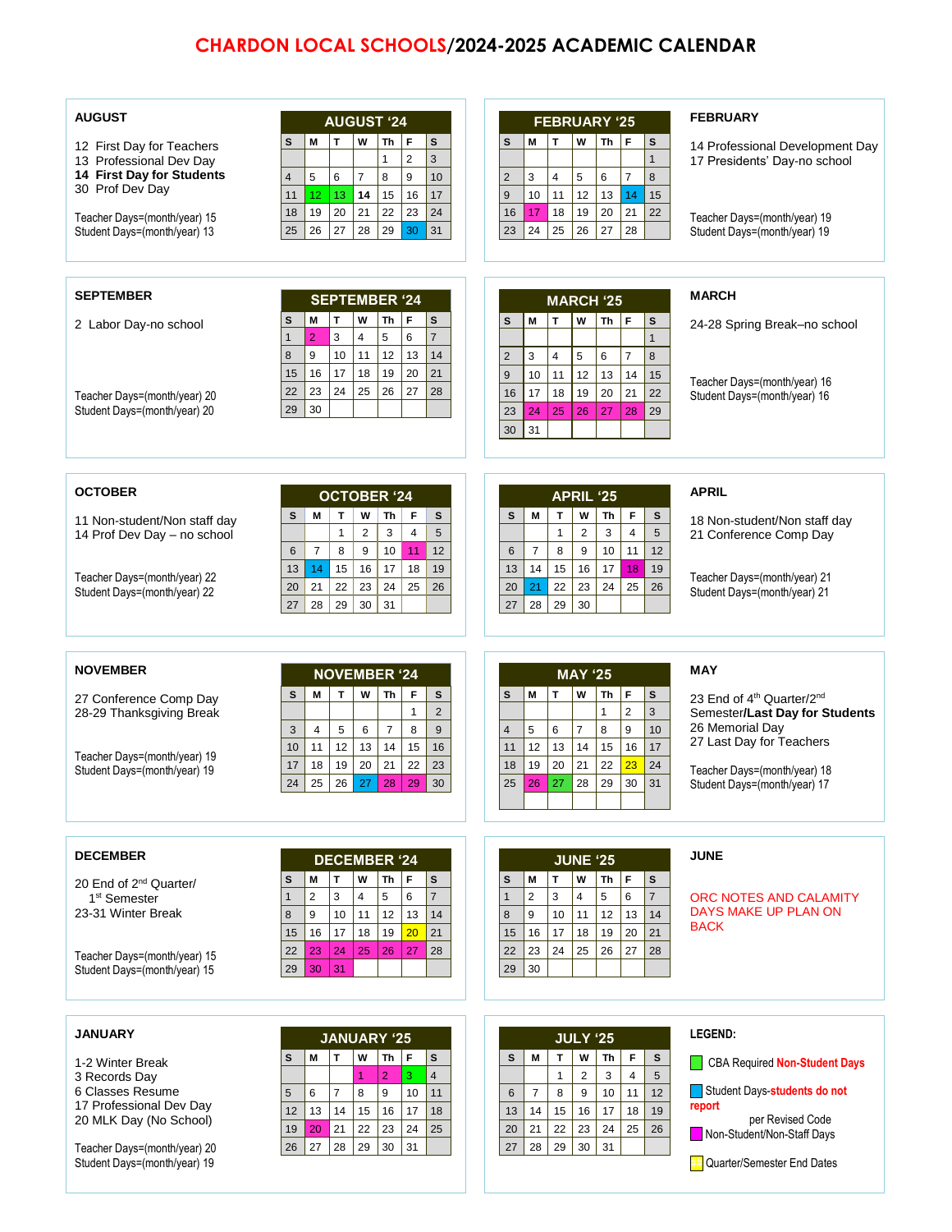## **CHARDON LOCAL SCHOOLS/2024-2025 ACADEMIC CALENDAR**

| <b>AUGUST</b>                                                |                          |                     |                      | <b>AUGUST '24</b>              |                                             |                     |                | <b>FEBRUARY '25</b> |                     |              |                      |                  | <b>FEBRUARY</b>                                              |  |  |  |
|--------------------------------------------------------------|--------------------------|---------------------|----------------------|--------------------------------|---------------------------------------------|---------------------|----------------|---------------------|---------------------|--------------|----------------------|------------------|--------------------------------------------------------------|--|--|--|
| 12 First Day for Teachers                                    | M<br>S                   | T                   | W                    | Th<br>F                        | S                                           | S                   | M              | Iт                  | W                   | Th           | F                    | S                | 14 Professional Development Day                              |  |  |  |
| 13 Professional Dev Day                                      |                          |                     |                      | $\overline{2}$<br>$\mathbf{1}$ | 3                                           |                     |                |                     |                     |              |                      | $\mathbf{1}$     | 17 Presidents' Day-no school                                 |  |  |  |
| 14 First Day for Students<br>30 Prof Dev Day                 | 5<br>$\overline{4}$      | 6                   | $\overline{7}$       | 8<br>9                         | 10                                          | $\overline{2}$      | 3              | $\overline{4}$      | 5                   | 6            | $\overline{7}$       | 8                |                                                              |  |  |  |
|                                                              | 11<br>12                 | 13                  | 14<br>21             | 15<br>16                       | 17                                          | 9                   | 10             | 11                  | 12                  | 13           | 14                   | 15               |                                                              |  |  |  |
| Teacher Days=(month/year) 15<br>Student Days=(month/year) 13 | 19<br>18<br>25<br>26     | 20<br>27            | 28                   | 22<br>23<br>29                 | 24<br>30<br>31                              | 16<br>23            | 17<br>24       | 18<br>25            | 19<br>26            | 20<br>27     | 21<br>28             | 22               | Teacher Days=(month/year) 19<br>Student Days=(month/year) 19 |  |  |  |
|                                                              |                          |                     |                      |                                |                                             |                     |                |                     |                     |              |                      |                  |                                                              |  |  |  |
|                                                              |                          |                     |                      |                                |                                             |                     |                |                     |                     |              |                      |                  |                                                              |  |  |  |
| <b>SEPTEMBER</b>                                             |                          |                     |                      |                                |                                             |                     |                |                     |                     |              |                      |                  |                                                              |  |  |  |
|                                                              |                          |                     |                      | <b>SEPTEMBER '24</b>           |                                             |                     |                | <b>MARCH '25</b>    |                     |              |                      |                  | <b>MARCH</b>                                                 |  |  |  |
| 2 Labor Day-no school                                        | M<br>s                   | T                   | W                    | Th<br>F                        | $\mathbf{s}$                                | s                   | M              | $\mathsf{T}$        | W                   | Th           | F                    | s                | 24-28 Spring Break–no school                                 |  |  |  |
|                                                              | $\overline{2}$<br>1<br>9 | 3                   | $\overline{4}$<br>11 | 5<br>6<br>12                   | $\overline{7}$                              |                     |                |                     |                     |              |                      |                  |                                                              |  |  |  |
|                                                              | 8<br>15<br>16            | 10<br>17            | 18                   | 13<br>19<br>20                 | 14<br>21                                    | $\overline{2}$<br>9 | 3<br>10        | 4<br>11             | 5<br>12             | 6<br>13      | $\overline{7}$<br>14 | 8                |                                                              |  |  |  |
|                                                              | 23<br>22                 | 24                  | 25                   | 26<br>27                       | 28                                          | 16                  | 17             | 18                  | 19                  | 20           | 21                   | 15<br>22         | Teacher Days=(month/year) 16                                 |  |  |  |
| Teacher Days=(month/year) 20<br>Student Days=(month/year) 20 | 30<br>29                 |                     |                      |                                |                                             | 23                  | 24             | 25                  | 26                  | 27           | 28                   | 29               | Student Days=(month/year) 16                                 |  |  |  |
|                                                              |                          |                     |                      |                                |                                             | 30                  | 31             |                     |                     |              |                      |                  |                                                              |  |  |  |
|                                                              |                          |                     |                      |                                |                                             |                     |                |                     |                     |              |                      |                  |                                                              |  |  |  |
|                                                              |                          |                     |                      |                                |                                             |                     |                |                     |                     |              |                      |                  |                                                              |  |  |  |
| <b>OCTOBER</b>                                               |                          |                     |                      |                                |                                             |                     |                |                     |                     |              |                      |                  | <b>APRIL</b>                                                 |  |  |  |
|                                                              |                          |                     |                      | <b>OCTOBER '24</b>             |                                             |                     |                |                     | APRIL '25           |              |                      |                  |                                                              |  |  |  |
| 11 Non-student/Non staff day                                 | M<br>s                   | т<br>$\mathbf{1}$   | W<br>$\overline{2}$  | Th<br>3                        | F<br>s<br>$\overline{4}$<br>$5\phantom{.0}$ | s                   | M              | T<br>$\mathbf{1}$   | W<br>$\overline{2}$ | Th<br>3      | F<br>$\overline{4}$  | $\mathbf s$<br>5 | 18 Non-student/Non staff day                                 |  |  |  |
| 14 Prof Dev Day - no school                                  | 6                        | $\overline{7}$<br>8 | $\boldsymbol{9}$     | 10                             | 11<br>12                                    | 6                   | $\overline{7}$ | 8                   | 9                   | 10           | 11                   | 12               | 21 Conference Comp Day                                       |  |  |  |
|                                                              | 13                       | 14<br>15            | 16                   | 17                             | 18<br>19                                    | 13                  | 14             | 15                  | 16                  | 17           | 18                   | 19               |                                                              |  |  |  |
| Teacher Days=(month/year) 22                                 | 20                       | 21<br>22            | 23                   | 24                             | 25<br>26                                    | 20                  | 21             | 22                  | 23                  | 24           | 25                   | 26               | Teacher Days=(month/year) 21                                 |  |  |  |
| Student Days=(month/year) 22                                 | 27                       | 28<br>29            | 30                   | 31                             |                                             | 27                  | 28             | 29                  | 30                  |              |                      |                  | Student Days=(month/year) 21                                 |  |  |  |
|                                                              |                          |                     |                      |                                |                                             |                     |                |                     |                     |              |                      |                  |                                                              |  |  |  |
|                                                              |                          |                     |                      |                                |                                             |                     |                |                     |                     |              |                      |                  |                                                              |  |  |  |
| <b>NOVEMBER</b>                                              |                          |                     |                      | <b>NOVEMBER '24</b>            |                                             |                     |                |                     | <b>MAY '25</b>      |              |                      |                  | <b>MAY</b>                                                   |  |  |  |
|                                                              | M                        | T.                  | W                    | Th                             | F<br>$\mathbf{s}$                           |                     |                | T.                  | W                   | Th           | F                    |                  |                                                              |  |  |  |
| 27 Conference Comp Day<br>28-29 Thanksgiving Break           | s                        |                     |                      |                                | $\overline{2}$<br>$\mathbf{1}$              | s                   | M              |                     |                     | $\mathbf{1}$ | $\mathbf 2$          | s<br>3           | 23 End of 4th Quarter/2nd<br>Semester/Last Day for Students  |  |  |  |
|                                                              | 3                        | $\overline{4}$<br>5 | 6                    | $\overline{7}$                 | 8<br>9                                      | 4                   | 5              | 6                   | $\overline{7}$      | 8            | $\boldsymbol{9}$     | 10               | 26 Memorial Day                                              |  |  |  |
|                                                              | 10                       | 12<br>11            | 13                   | 14                             | 15<br>16                                    | 11                  | 12             | 13                  | 14                  | 15           | 16                   | 17               | 27 Last Day for Teachers                                     |  |  |  |
| Teacher Days=(month/year) 19<br>Student Days=(month/year) 19 | 17                       | 18<br>19            | 20                   | 21                             | 22<br>23                                    | 18                  | 19             | 20                  | 21                  | 22           | 23                   | 24               | Teacher Days=(month/year) 18                                 |  |  |  |
|                                                              | ${\bf 24}$               | 25                  |                      |                                | 26 27 28 29 30                              | 25                  | 26             | 27                  | 28                  | 29           | 30                   | 31               | Student Days=(month/year) 17                                 |  |  |  |
|                                                              |                          |                     |                      |                                |                                             |                     |                |                     |                     |              |                      |                  |                                                              |  |  |  |
|                                                              |                          |                     |                      |                                |                                             |                     |                |                     |                     |              |                      |                  |                                                              |  |  |  |
|                                                              |                          |                     |                      |                                |                                             |                     |                |                     |                     |              |                      |                  |                                                              |  |  |  |
|                                                              |                          |                     |                      |                                |                                             |                     |                |                     |                     |              |                      |                  |                                                              |  |  |  |
| <b>DECEMBER</b>                                              |                          |                     |                      | <b>DECEMBER '24</b>            |                                             |                     |                |                     | <b>JUNE '25</b>     |              |                      |                  | <b>JUNE</b>                                                  |  |  |  |
| 20 End of 2 <sup>nd</sup> Quarter/                           | M<br>s                   | T                   | W                    | Th<br>F                        | s                                           | S                   | M              | $\mathbf{T}$        | W                   | Th           | F                    | S                |                                                              |  |  |  |
| 1 <sup>st</sup> Semester                                     | $\overline{2}$<br>1      | 3                   | $\overline{4}$       | 5<br>6                         | $\overline{7}$                              | $\mathbf{1}$        | $\overline{2}$ | 3                   | $\overline{4}$      | 5            | 6                    | $\overline{7}$   | ORC NOTES AND CALAMITY                                       |  |  |  |
| 23-31 Winter Break                                           | 8<br>9                   | 10                  | 11                   | 12<br>13                       | 14                                          | 8                   | 9              | 10                  | 11                  | 12           | 13                   | 14               | DAYS MAKE UP PLAN ON<br><b>BACK</b>                          |  |  |  |
|                                                              | 16<br>15                 | 17                  | 18                   | 19<br>20                       | 21                                          | 15                  | 16             | 17                  | 18                  | 19           | 20                   | 21               |                                                              |  |  |  |
| Teacher Days=(month/year) 15                                 | 22<br>23                 | 24                  | 25                   | 26                             | 27<br>28                                    | 22                  | 23             | 24                  | 25                  | 26           | 27                   | 28               |                                                              |  |  |  |
| Student Days=(month/year) 15                                 | 29                       | 31<br>30            |                      |                                |                                             | 29                  | 30             |                     |                     |              |                      |                  |                                                              |  |  |  |
|                                                              |                          |                     |                      |                                |                                             |                     |                |                     |                     |              |                      |                  |                                                              |  |  |  |
|                                                              |                          |                     |                      |                                |                                             |                     |                |                     |                     |              |                      |                  |                                                              |  |  |  |
| <b>JANUARY</b>                                               |                          |                     |                      | <b>JANUARY '25</b>             |                                             |                     |                |                     | <b>JULY '25</b>     |              |                      |                  | <b>LEGEND:</b>                                               |  |  |  |
| 1-2 Winter Break                                             | M<br>s                   | T                   | W                    | Th<br>F                        | $\mathbf s$                                 | s                   | M              | T                   | W                   | Th           | F                    | s                | CBA Required Non-Student Days                                |  |  |  |
| 3 Records Day                                                |                          |                     |                      | $\overline{2}$<br>3            | $\overline{4}$                              |                     |                | $\mathbf{1}$        | $\overline{2}$      | 3            | $\overline{4}$       | 5                |                                                              |  |  |  |
| 6 Classes Resume<br>17 Professional Dev Day                  | 6<br>5                   | $\overline{7}$      | 8                    | 9<br>10                        | 11                                          | 6                   | $\overline{7}$ | 8                   | 9                   | 10           | 11                   | 12               | Student Days-students do not<br>report                       |  |  |  |
| 20 MLK Day (No School)                                       | 12<br>13<br>20<br>19     | 14<br>21            | 15<br>22             | 16<br>17<br>23<br>24           | 18<br>25                                    | 13<br>20            | 14<br>21       | 15<br>22            | 16<br>23            | 17<br>24     | 18<br>25             | 19<br>26         | per Revised Code                                             |  |  |  |
| Teacher Days=(month/year) 20                                 | 26<br>27                 | 28                  | 29                   | 30<br>31                       |                                             | 27                  | 28             | 29                  | 30                  | 31           |                      |                  | Non-Student/Non-Staff Days                                   |  |  |  |